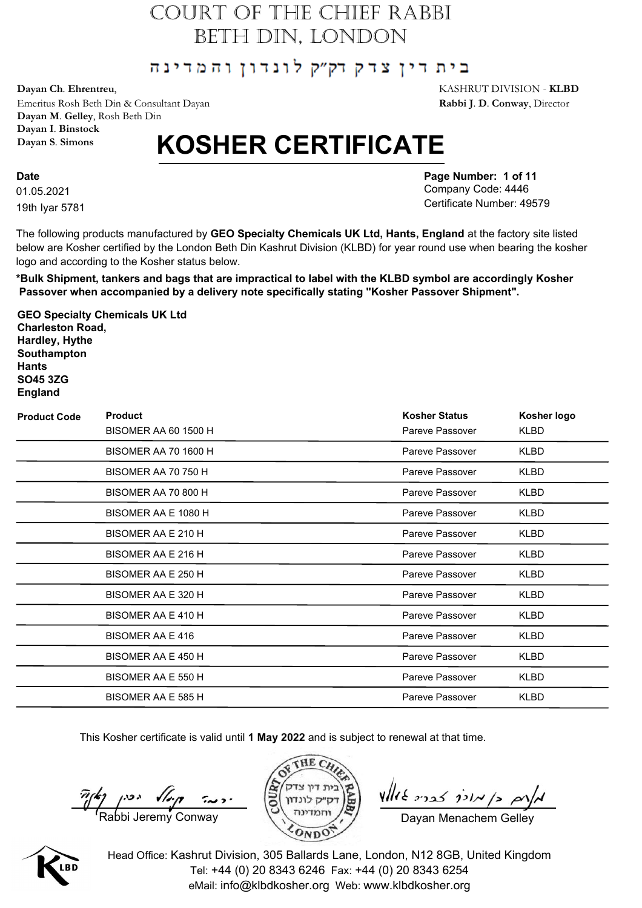#### בית דין צדק דק״ק לונדון והמדינה

**Dayan Ch**. **Ehrentreu**, KASHRUT DIVISION - **KLBD**

Emeritus Rosh Beth Din & Consultant Dayan **Rabbi J**. **D**. **Conway**, Director **Dayan M**. **Gelley**, Rosh Beth Din **Dayan I**. **Binstock Dayan S**. **Simons**

# **KOSHER CERTIFICATE**

01.05.2021 **Date** 19th Iyar 5781 **Page Number: 1 of 11** Company Code: 4446 Certificate Number: 49579

The following products manufactured by **GEO Specialty Chemicals UK Ltd, Hants, England** at the factory site listed below are Kosher certified by the London Beth Din Kashrut Division (KLBD) for year round use when bearing the kosher logo and according to the Kosher status below.

**\*Bulk Shipment, tankers and bags that are impractical to label with the KLBD symbol are accordingly Kosher Passover when accompanied by a delivery note specifically stating "Kosher Passover Shipment".**

**GEO Specialty Chemicals UK Ltd Charleston Road, Hardley, Hythe Southampton Hants SO45 3ZG England**

| <b>Product Code</b> | <b>Product</b><br><b>BISOMER AA 60 1500 H</b> | <b>Kosher Status</b><br>Pareve Passover | Kosher logo<br>KLBD |
|---------------------|-----------------------------------------------|-----------------------------------------|---------------------|
|                     | <b>BISOMER AA 70 1600 H</b>                   | Pareve Passover                         | <b>KLBD</b>         |
|                     | BISOMER AA 70 750 H                           | Pareve Passover                         | <b>KLBD</b>         |
|                     | BISOMER AA 70 800 H                           | Pareve Passover                         | KLBD                |
|                     | BISOMER AA E 1080 H                           | Pareve Passover                         | KLBD                |
|                     | BISOMER AA E 210 H                            | Pareve Passover                         | KLBD                |
|                     | BISOMER AA E 216 H                            | Pareve Passover                         | KLBD                |
|                     | BISOMER AA E 250 H                            | Pareve Passover                         | <b>KLBD</b>         |
|                     | BISOMER AA E 320 H                            | Pareve Passover                         | <b>KLBD</b>         |
|                     | BISOMER AA E 410 H                            | Pareve Passover                         | <b>KLBD</b>         |
|                     | BISOMER AA E 416                              | Pareve Passover                         | <b>KLBD</b>         |
|                     | BISOMER AA E 450 H                            | Pareve Passover                         | <b>KLBD</b>         |
|                     | BISOMER AA E 550 H                            | Pareve Passover                         | KLBD                |
|                     | BISOMER AA E 585 H                            | Pareve Passover                         | <b>KLBD</b>         |

This Kosher certificate is valid until **1 May 2022** and is subject to renewal at that time.

 $\frac{\pi}{\sqrt{2}}$   $\left(\frac{2}{\sqrt{2}}\right)$   $\left(\frac{2}{\sqrt{2}}\right)$   $\left(\frac{2}{\sqrt{2}}\right)$   $\left(\frac{2}{\sqrt{2}}\right)$   $\left(\frac{2}{\sqrt{2}}\right)$   $\left(\frac{2}{\sqrt{2}}\right)$   $\left(\frac{2}{\sqrt{2}}\right)$   $\left(\frac{2}{\sqrt{2}}\right)$   $\left(\frac{2}{\sqrt{2}}\right)$   $\left(\frac{2}{\sqrt{2}}\right)$   $\left(\frac{2}{\sqrt{2}}\right)$   $\left(\frac{2}{\sqrt$ 



 $\n *where*  $\frac{1}{2}$$ 

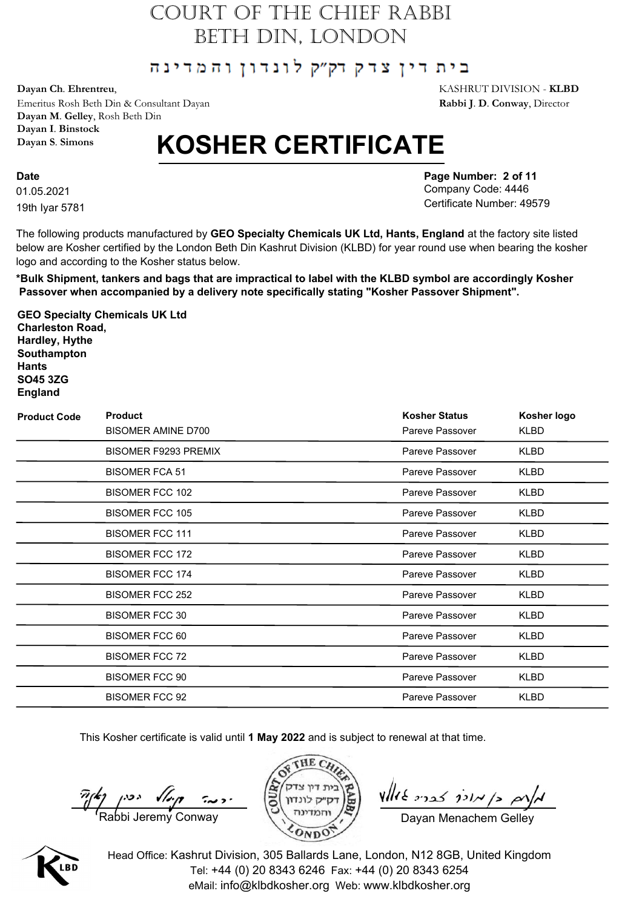#### בית דין צדק דק״ק לונדון והמדינה

**Dayan Ch**. **Ehrentreu**, KASHRUT DIVISION - **KLBD**

Emeritus Rosh Beth Din & Consultant Dayan **Rabbi J**. **D**. **Conway**, Director **Dayan M**. **Gelley**, Rosh Beth Din **Dayan I**. **Binstock Dayan S**. **Simons**

# **KOSHER CERTIFICATE**

01.05.2021 **Date** 19th Iyar 5781 **Page Number: 2 of 11** Company Code: 4446 Certificate Number: 49579

The following products manufactured by **GEO Specialty Chemicals UK Ltd, Hants, England** at the factory site listed below are Kosher certified by the London Beth Din Kashrut Division (KLBD) for year round use when bearing the kosher logo and according to the Kosher status below.

**\*Bulk Shipment, tankers and bags that are impractical to label with the KLBD symbol are accordingly Kosher Passover when accompanied by a delivery note specifically stating "Kosher Passover Shipment".**

**GEO Specialty Chemicals UK Ltd Charleston Road, Hardley, Hythe Southampton Hants SO45 3ZG England**

| <b>Product Code</b> | <b>Product</b><br><b>BISOMER AMINE D700</b> | <b>Kosher Status</b><br>Pareve Passover | Kosher logo<br>KLBD |
|---------------------|---------------------------------------------|-----------------------------------------|---------------------|
|                     | <b>BISOMER F9293 PREMIX</b>                 | Pareve Passover                         | KLBD                |
|                     | <b>BISOMER FCA 51</b>                       | Pareve Passover                         | KLBD                |
|                     | <b>BISOMER FCC 102</b>                      | Pareve Passover                         | KLBD                |
|                     | <b>BISOMER FCC 105</b>                      | Pareve Passover                         | <b>KLBD</b>         |
|                     | <b>BISOMER FCC 111</b>                      | Pareve Passover                         | KLBD                |
|                     | <b>BISOMER FCC 172</b>                      | Pareve Passover                         | <b>KLBD</b>         |
|                     | <b>BISOMER FCC 174</b>                      | Pareve Passover                         | <b>KLBD</b>         |
|                     | <b>BISOMER FCC 252</b>                      | Pareve Passover                         | KLBD                |
|                     | <b>BISOMER FCC 30</b>                       | Pareve Passover                         | <b>KLBD</b>         |
|                     | <b>BISOMER FCC 60</b>                       | Pareve Passover                         | KLBD                |
|                     | <b>BISOMER FCC 72</b>                       | Pareve Passover                         | KLBD                |
|                     | <b>BISOMER FCC 90</b>                       | Pareve Passover                         | KLBD                |
|                     | <b>BISOMER FCC 92</b>                       | Pareve Passover                         | KLBD                |

This Kosher certificate is valid until **1 May 2022** and is subject to renewal at that time.

 $\frac{\pi}{\sqrt{2}}$   $\left(\frac{2}{\sqrt{2}}\right)$   $\left(\frac{2}{\sqrt{2}}\right)$   $\left(\frac{2}{\sqrt{2}}\right)$   $\left(\frac{2}{\sqrt{2}}\right)$   $\left(\frac{2}{\sqrt{2}}\right)$   $\left(\frac{2}{\sqrt{2}}\right)$   $\left(\frac{2}{\sqrt{2}}\right)$   $\left(\frac{2}{\sqrt{2}}\right)$   $\left(\frac{2}{\sqrt{2}}\right)$   $\left(\frac{2}{\sqrt{2}}\right)$   $\left(\frac{2}{\sqrt{2}}\right)$   $\left(\frac{2}{\sqrt$ 





 $\n *where*  $\frac{1}{2}$$ 

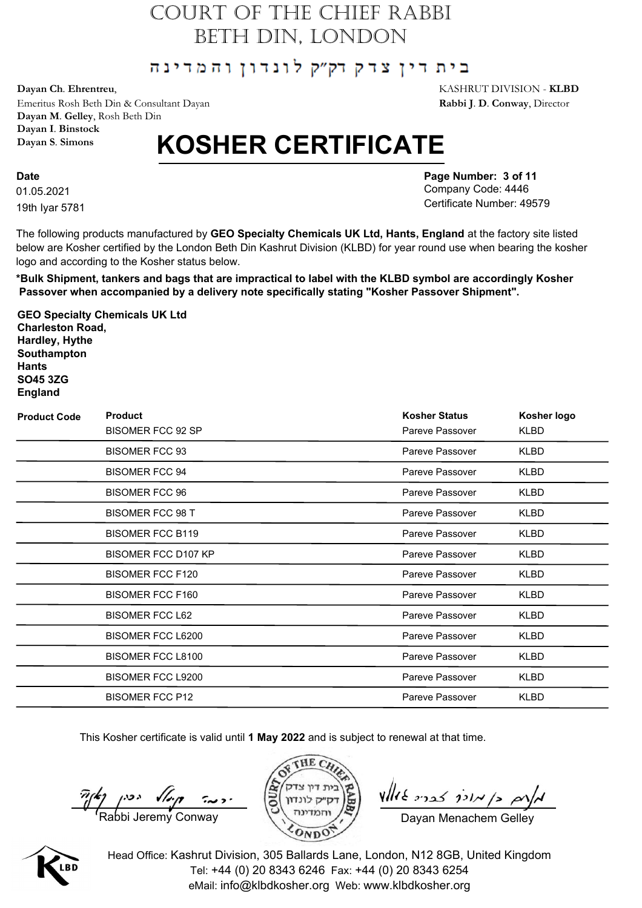#### בית דין צדק דק״ק לונדון והמדינה

**Dayan Ch**. **Ehrentreu**, KASHRUT DIVISION - **KLBD**

Emeritus Rosh Beth Din & Consultant Dayan **Rabbi J**. **D**. **Conway**, Director **Dayan M**. **Gelley**, Rosh Beth Din **Dayan I**. **Binstock Dayan S**. **Simons**

# **KOSHER CERTIFICATE**

01.05.2021 **Date** 19th Iyar 5781 **Page Number: 3 of 11** Company Code: 4446 Certificate Number: 49579

The following products manufactured by **GEO Specialty Chemicals UK Ltd, Hants, England** at the factory site listed below are Kosher certified by the London Beth Din Kashrut Division (KLBD) for year round use when bearing the kosher logo and according to the Kosher status below.

**\*Bulk Shipment, tankers and bags that are impractical to label with the KLBD symbol are accordingly Kosher Passover when accompanied by a delivery note specifically stating "Kosher Passover Shipment".**

**GEO Specialty Chemicals UK Ltd Charleston Road, Hardley, Hythe Southampton Hants SO45 3ZG England**

| <b>Product Code</b> | <b>Product</b><br><b>BISOMER FCC 92 SP</b> | <b>Kosher Status</b><br>Pareve Passover | Kosher logo<br>KLBD |
|---------------------|--------------------------------------------|-----------------------------------------|---------------------|
|                     | <b>BISOMER FCC 93</b>                      | Pareve Passover                         | <b>KLBD</b>         |
|                     | <b>BISOMER FCC 94</b>                      | Pareve Passover                         | <b>KLBD</b>         |
|                     | <b>BISOMER FCC 96</b>                      | Pareve Passover                         | KLBD                |
|                     | <b>BISOMER FCC 98 T</b>                    | Pareve Passover                         | <b>KLBD</b>         |
|                     | <b>BISOMER FCC B119</b>                    | Pareve Passover                         | KLBD                |
|                     | <b>BISOMER FCC D107 KP</b>                 | Pareve Passover                         | KLBD                |
|                     | <b>BISOMER FCC F120</b>                    | Pareve Passover                         | <b>KLBD</b>         |
|                     | <b>BISOMER FCC F160</b>                    | Pareve Passover                         | <b>KLBD</b>         |
|                     | <b>BISOMER FCC L62</b>                     | Pareve Passover                         | KLBD                |
|                     | BISOMER FCC L6200                          | Pareve Passover                         | KLBD                |
|                     | BISOMER FCC L8100                          | Pareve Passover                         | KLBD                |
|                     | <b>BISOMER FCC L9200</b>                   | Pareve Passover                         | KLBD                |
|                     | <b>BISOMER FCC P12</b>                     | Pareve Passover                         | <b>KLBD</b>         |

This Kosher certificate is valid until **1 May 2022** and is subject to renewal at that time.

 $\frac{\pi}{\sqrt{2}}$   $\left(\frac{2}{\sqrt{2}}\right)$   $\left(\frac{2}{\sqrt{2}}\right)$   $\left(\frac{2}{\sqrt{2}}\right)$   $\left(\frac{2}{\sqrt{2}}\right)$   $\left(\frac{2}{\sqrt{2}}\right)$   $\left(\frac{2}{\sqrt{2}}\right)$   $\left(\frac{2}{\sqrt{2}}\right)$   $\left(\frac{2}{\sqrt{2}}\right)$   $\left(\frac{2}{\sqrt{2}}\right)$   $\left(\frac{2}{\sqrt{2}}\right)$   $\left(\frac{2}{\sqrt{2}}\right)$   $\left(\frac{2}{\sqrt$ 



 $\n *where*  $\frac{1}{2}$$ 

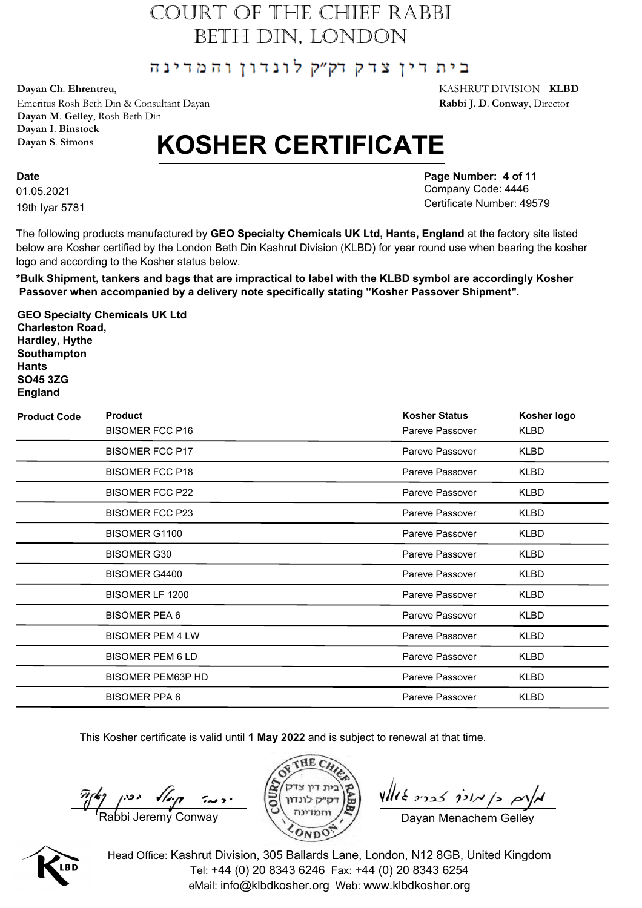#### בית דין צדק דק״ק לונדון והמדינה

**Dayan Ch**. **Ehrentreu**, KASHRUT DIVISION - **KLBD**

Emeritus Rosh Beth Din & Consultant Dayan **Rabbi J**. **D**. **Conway**, Director **Dayan M**. **Gelley**, Rosh Beth Din **Dayan I**. **Binstock Dayan S**. **Simons**

# **KOSHER CERTIFICATE**

01.05.2021 **Date** 19th Iyar 5781 **Page Number: 4 of 11** Company Code: 4446 Certificate Number: 49579

The following products manufactured by **GEO Specialty Chemicals UK Ltd, Hants, England** at the factory site listed below are Kosher certified by the London Beth Din Kashrut Division (KLBD) for year round use when bearing the kosher logo and according to the Kosher status below.

**\*Bulk Shipment, tankers and bags that are impractical to label with the KLBD symbol are accordingly Kosher Passover when accompanied by a delivery note specifically stating "Kosher Passover Shipment".**

**GEO Specialty Chemicals UK Ltd Charleston Road, Hardley, Hythe Southampton Hants SO45 3ZG England**

| <b>Product Code</b> | <b>Product</b>           | <b>Kosher Status</b> | Kosher logo |
|---------------------|--------------------------|----------------------|-------------|
|                     | <b>BISOMER FCC P16</b>   | Pareve Passover      | KLBD        |
|                     | <b>BISOMER FCC P17</b>   | Pareve Passover      | <b>KLBD</b> |
|                     | <b>BISOMER FCC P18</b>   | Pareve Passover      | KLBD        |
|                     | <b>BISOMER FCC P22</b>   | Pareve Passover      | KLBD        |
|                     | <b>BISOMER FCC P23</b>   | Pareve Passover      | KLBD        |
|                     | <b>BISOMER G1100</b>     | Pareve Passover      | KLBD        |
|                     | <b>BISOMER G30</b>       | Pareve Passover      | KLBD        |
|                     | <b>BISOMER G4400</b>     | Pareve Passover      | <b>KLBD</b> |
|                     | BISOMER LF 1200          | Pareve Passover      | KLBD        |
|                     | <b>BISOMER PEA 6</b>     | Pareve Passover      | <b>KLBD</b> |
|                     | <b>BISOMER PEM 4 LW</b>  | Pareve Passover      | KLBD        |
|                     | <b>BISOMER PEM 6 LD</b>  | Pareve Passover      | KLBD        |
|                     | <b>BISOMER PEM63P HD</b> | Pareve Passover      | KLBD        |
|                     | <b>BISOMER PPA 6</b>     | Pareve Passover      | <b>KLBD</b> |

This Kosher certificate is valid until **1 May 2022** and is subject to renewal at that time.

 $\frac{\pi}{\sqrt{2}}$   $\left(\frac{2}{\sqrt{2}}\right)$   $\left(\frac{2}{\sqrt{2}}\right)$   $\left(\frac{2}{\sqrt{2}}\right)$   $\left(\frac{2}{\sqrt{2}}\right)$   $\left(\frac{2}{\sqrt{2}}\right)$   $\left(\frac{2}{\sqrt{2}}\right)$   $\left(\frac{2}{\sqrt{2}}\right)$   $\left(\frac{2}{\sqrt{2}}\right)$   $\left(\frac{2}{\sqrt{2}}\right)$   $\left(\frac{2}{\sqrt{2}}\right)$   $\left(\frac{2}{\sqrt{2}}\right)$   $\left(\frac{2}{\sqrt$ 





 $\n *where*  $\frac{1}{2}$$ 

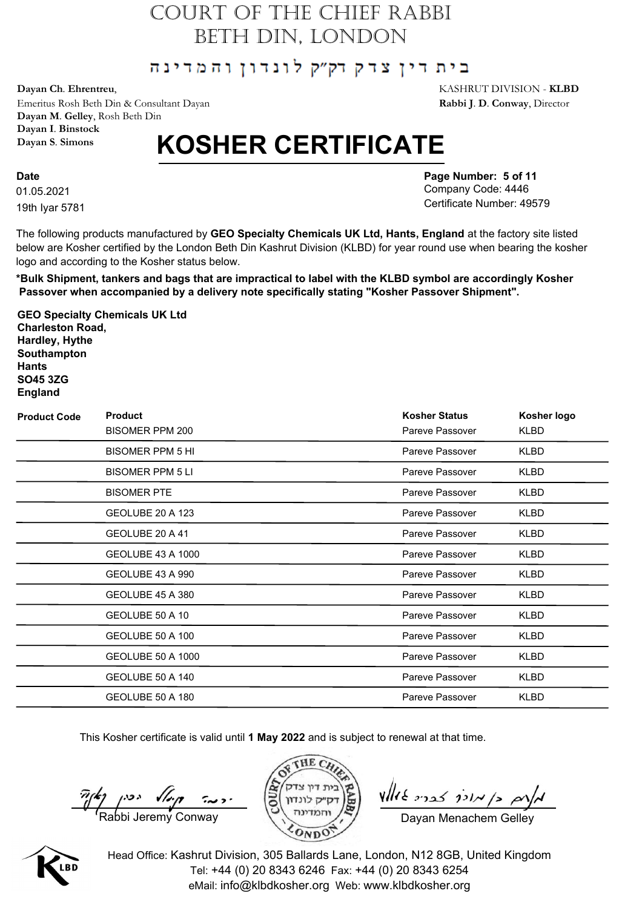#### בית דין צדק דק״ק לונדון והמדינה

**Dayan Ch**. **Ehrentreu**, KASHRUT DIVISION - **KLBD**

Emeritus Rosh Beth Din & Consultant Dayan **Rabbi J**. **D**. **Conway**, Director **Dayan M**. **Gelley**, Rosh Beth Din **Dayan I**. **Binstock Dayan S**. **Simons**

# **KOSHER CERTIFICATE**

01.05.2021 **Date** 19th Iyar 5781 **Page Number: 5 of 11** Company Code: 4446 Certificate Number: 49579

The following products manufactured by **GEO Specialty Chemicals UK Ltd, Hants, England** at the factory site listed below are Kosher certified by the London Beth Din Kashrut Division (KLBD) for year round use when bearing the kosher logo and according to the Kosher status below.

**\*Bulk Shipment, tankers and bags that are impractical to label with the KLBD symbol are accordingly Kosher Passover when accompanied by a delivery note specifically stating "Kosher Passover Shipment".**

**GEO Specialty Chemicals UK Ltd Charleston Road, Hardley, Hythe Southampton Hants SO45 3ZG England**

| <b>Product Code</b> | <b>Product</b>          | <b>Kosher Status</b> | Kosher logo |
|---------------------|-------------------------|----------------------|-------------|
|                     | BISOMER PPM 200         | Pareve Passover      | KLBD        |
|                     | <b>BISOMER PPM 5 HI</b> | Pareve Passover      | <b>KLBD</b> |
|                     | <b>BISOMER PPM 5 LI</b> | Pareve Passover      | <b>KLBD</b> |
|                     | <b>BISOMER PTE</b>      | Pareve Passover      | KLBD        |
|                     | GEOLUBE 20 A 123        | Pareve Passover      | <b>KLBD</b> |
|                     | GEOLUBE 20 A 41         | Pareve Passover      | KLBD        |
|                     | GEOLUBE 43 A 1000       | Pareve Passover      | KLBD        |
|                     | GEOLUBE 43 A 990        | Pareve Passover      | KLBD        |
|                     | GEOLUBE 45 A 380        | Pareve Passover      | <b>KLBD</b> |
|                     | GEOLUBE 50 A 10         | Pareve Passover      | <b>KLBD</b> |
|                     | GEOLUBE 50 A 100        | Pareve Passover      | KLBD        |
|                     | GEOLUBE 50 A 1000       | Pareve Passover      | KLBD        |
|                     | GEOLUBE 50 A 140        | Pareve Passover      | KLBD        |
|                     | GEOLUBE 50 A 180        | Pareve Passover      | <b>KLBD</b> |

This Kosher certificate is valid until **1 May 2022** and is subject to renewal at that time.

 $\frac{\pi}{\sqrt{2}}$   $\left(\frac{2}{\sqrt{2}}\right)$   $\left(\frac{2}{\sqrt{2}}\right)$   $\left(\frac{2}{\sqrt{2}}\right)$   $\left(\frac{2}{\sqrt{2}}\right)$   $\left(\frac{2}{\sqrt{2}}\right)$   $\left(\frac{2}{\sqrt{2}}\right)$   $\left(\frac{2}{\sqrt{2}}\right)$   $\left(\frac{2}{\sqrt{2}}\right)$   $\left(\frac{2}{\sqrt{2}}\right)$   $\left(\frac{2}{\sqrt{2}}\right)$   $\left(\frac{2}{\sqrt{2}}\right)$   $\left(\frac{2}{\sqrt$ 





 $\n *where*  $\frac{1}{2}$$ 

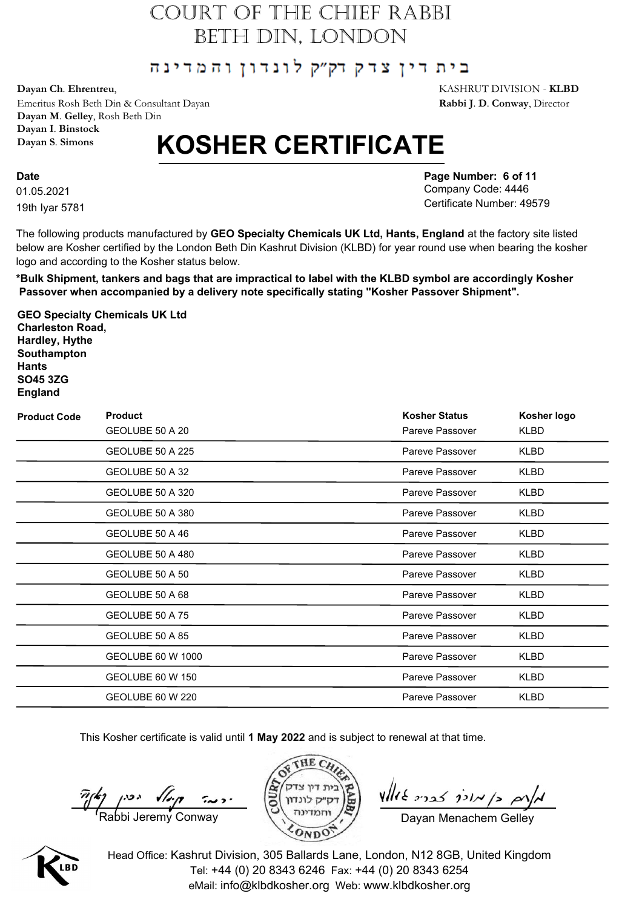#### בית דין צדק דק״ק לונדון והמדינה

**Dayan Ch**. **Ehrentreu**, KASHRUT DIVISION - **KLBD**

Emeritus Rosh Beth Din & Consultant Dayan **Rabbi J**. **D**. **Conway**, Director **Dayan M**. **Gelley**, Rosh Beth Din **Dayan I**. **Binstock Dayan S**. **Simons**

# **KOSHER CERTIFICATE**

01.05.2021 **Date** 19th Iyar 5781 **Page Number: 6 of 11** Company Code: 4446 Certificate Number: 49579

The following products manufactured by **GEO Specialty Chemicals UK Ltd, Hants, England** at the factory site listed below are Kosher certified by the London Beth Din Kashrut Division (KLBD) for year round use when bearing the kosher logo and according to the Kosher status below.

**\*Bulk Shipment, tankers and bags that are impractical to label with the KLBD symbol are accordingly Kosher Passover when accompanied by a delivery note specifically stating "Kosher Passover Shipment".**

**GEO Specialty Chemicals UK Ltd Charleston Road, Hardley, Hythe Southampton Hants SO45 3ZG England**

| <b>Product Code</b> | <b>Product</b><br>GEOLUBE 50 A 20 | <b>Kosher Status</b><br>Pareve Passover | Kosher logo<br>KLBD |
|---------------------|-----------------------------------|-----------------------------------------|---------------------|
|                     | GEOLUBE 50 A 225                  | Pareve Passover                         | <b>KLBD</b>         |
|                     | GEOLUBE 50 A 32                   | Pareve Passover                         | KLBD                |
|                     | GEOLUBE 50 A 320                  | Pareve Passover                         | KLBD                |
|                     | GEOLUBE 50 A 380                  | Pareve Passover                         | <b>KLBD</b>         |
|                     | GEOLUBE 50 A 46                   | Pareve Passover                         | KLBD                |
|                     | GEOLUBE 50 A 480                  | Pareve Passover                         | <b>KLBD</b>         |
|                     | GEOLUBE 50 A 50                   | Pareve Passover                         | KLBD                |
|                     | GEOLUBE 50 A 68                   | Pareve Passover                         | KLBD                |
|                     | GEOLUBE 50 A 75                   | Pareve Passover                         | <b>KLBD</b>         |
|                     | GEOLUBE 50 A 85                   | Pareve Passover                         | KLBD                |
|                     | GEOLUBE 60 W 1000                 | Pareve Passover                         | <b>KLBD</b>         |
|                     | GEOLUBE 60 W 150                  | Pareve Passover                         | KLBD                |
|                     | GEOLUBE 60 W 220                  | Pareve Passover                         | <b>KLBD</b>         |

This Kosher certificate is valid until **1 May 2022** and is subject to renewal at that time.

 $\frac{\pi}{\sqrt{2}}$   $\left(\frac{2}{\sqrt{2}}\right)$   $\left(\frac{2}{\sqrt{2}}\right)$   $\left(\frac{2}{\sqrt{2}}\right)$   $\left(\frac{2}{\sqrt{2}}\right)$   $\left(\frac{2}{\sqrt{2}}\right)$   $\left(\frac{2}{\sqrt{2}}\right)$   $\left(\frac{2}{\sqrt{2}}\right)$   $\left(\frac{2}{\sqrt{2}}\right)$   $\left(\frac{2}{\sqrt{2}}\right)$   $\left(\frac{2}{\sqrt{2}}\right)$   $\left(\frac{2}{\sqrt{2}}\right)$   $\left(\frac{2}{\sqrt$ 





 $\n *where*  $\frac{1}{2}$$ 

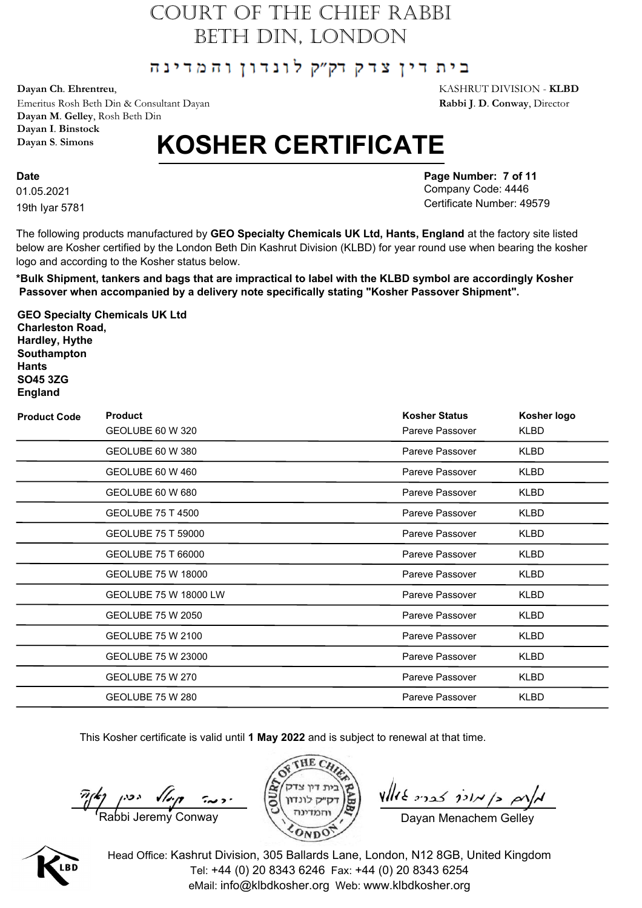#### בית דין צדק דק״ק לונדון והמדינה

**Dayan Ch**. **Ehrentreu**, KASHRUT DIVISION - **KLBD**

Emeritus Rosh Beth Din & Consultant Dayan **Rabbi J**. **D**. **Conway**, Director **Dayan M**. **Gelley**, Rosh Beth Din **Dayan I**. **Binstock Dayan S**. **Simons**

# **KOSHER CERTIFICATE**

01.05.2021 **Date** 19th Iyar 5781 **Page Number: 7 of 11** Company Code: 4446 Certificate Number: 49579

The following products manufactured by **GEO Specialty Chemicals UK Ltd, Hants, England** at the factory site listed below are Kosher certified by the London Beth Din Kashrut Division (KLBD) for year round use when bearing the kosher logo and according to the Kosher status below.

**\*Bulk Shipment, tankers and bags that are impractical to label with the KLBD symbol are accordingly Kosher Passover when accompanied by a delivery note specifically stating "Kosher Passover Shipment".**

**GEO Specialty Chemicals UK Ltd Charleston Road, Hardley, Hythe Southampton Hants SO45 3ZG England**

| <b>Product Code</b> | <b>Product</b>          | <b>Kosher Status</b> | Kosher logo |
|---------------------|-------------------------|----------------------|-------------|
|                     | GEOLUBE 60 W 320        | Pareve Passover      | KLBD        |
|                     | GEOLUBE 60 W 380        | Pareve Passover      | KLBD        |
|                     | GEOLUBE 60 W 460        | Pareve Passover      | KLBD        |
|                     | GEOLUBE 60 W 680        | Pareve Passover      | KLBD        |
|                     | GEOLUBE 75 T 4500       | Pareve Passover      | KLBD        |
|                     | GEOLUBE 75 T 59000      | Pareve Passover      | KLBD        |
|                     | GEOLUBE 75 T 66000      | Pareve Passover      | <b>KLBD</b> |
|                     | GEOLUBE 75 W 18000      | Pareve Passover      | KLBD        |
|                     | GEOLUBE 75 W 18000 LW   | Pareve Passover      | KLBD        |
|                     | GEOLUBE 75 W 2050       | Pareve Passover      | KLBD        |
|                     | GEOLUBE 75 W 2100       | Pareve Passover      | KLBD        |
|                     | GEOLUBE 75 W 23000      | Pareve Passover      | KLBD        |
|                     | <b>GEOLUBE 75 W 270</b> | Pareve Passover      | KLBD        |
|                     | GEOLUBE 75 W 280        | Pareve Passover      | <b>KLBD</b> |

This Kosher certificate is valid until **1 May 2022** and is subject to renewal at that time.

 $\frac{\pi}{\sqrt{2}}$   $\left(\frac{2}{\sqrt{2}}\right)$   $\left(\frac{2}{\sqrt{2}}\right)$   $\left(\frac{2}{\sqrt{2}}\right)$   $\left(\frac{2}{\sqrt{2}}\right)$   $\left(\frac{2}{\sqrt{2}}\right)$   $\left(\frac{2}{\sqrt{2}}\right)$   $\left(\frac{2}{\sqrt{2}}\right)$   $\left(\frac{2}{\sqrt{2}}\right)$   $\left(\frac{2}{\sqrt{2}}\right)$   $\left(\frac{2}{\sqrt{2}}\right)$   $\left(\frac{2}{\sqrt{2}}\right)$   $\left(\frac{2}{\sqrt$ 





 $\n *where*  $\frac{1}{2}$$ 

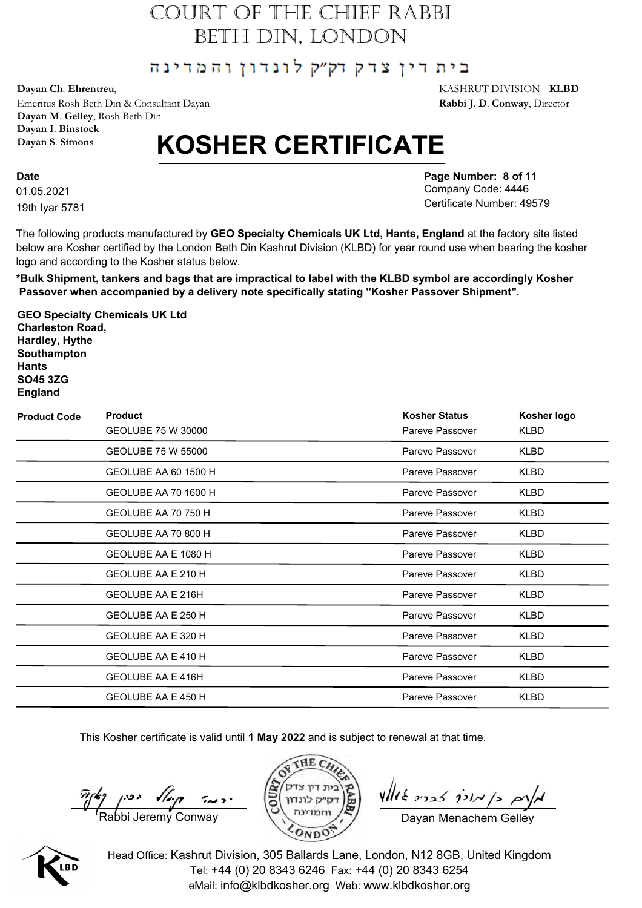#### בית דין צדק דק״ק לונדון והמדינה

**Dayan Ch**. **Ehrentreu**, KASHRUT DIVISION - **KLBD**

Emeritus Rosh Beth Din & Consultant Dayan **Rabbi J**. **D**. **Conway**, Director **Dayan M**. **Gelley**, Rosh Beth Din **Dayan I**. **Binstock Dayan S**. **Simons**

# **KOSHER CERTIFICATE**

01.05.2021 **Date** 19th Iyar 5781 **Page Number: 8 of 11** Company Code: 4446 Certificate Number: 49579

The following products manufactured by **GEO Specialty Chemicals UK Ltd, Hants, England** at the factory site listed below are Kosher certified by the London Beth Din Kashrut Division (KLBD) for year round use when bearing the kosher logo and according to the Kosher status below.

**\*Bulk Shipment, tankers and bags that are impractical to label with the KLBD symbol are accordingly Kosher Passover when accompanied by a delivery note specifically stating "Kosher Passover Shipment".**

**GEO Specialty Chemicals UK Ltd Charleston Road, Hardley, Hythe Southampton Hants SO45 3ZG England**

| <b>Product Code</b> | <b>Product</b><br>GEOLUBE 75 W 30000 | <b>Kosher Status</b><br>Pareve Passover | Kosher logo<br>KLBD |
|---------------------|--------------------------------------|-----------------------------------------|---------------------|
|                     | GEOLUBE 75 W 55000                   | Pareve Passover                         | <b>KLBD</b>         |
|                     | GEOLUBE AA 60 1500 H                 | Pareve Passover                         | <b>KLBD</b>         |
|                     | GEOLUBE AA 70 1600 H                 | Pareve Passover                         | KLBD                |
|                     | GEOLUBE AA 70 750 H                  | Pareve Passover                         | <b>KLBD</b>         |
|                     | GEOLUBE AA 70 800 H                  | Pareve Passover                         | KLBD                |
|                     | GEOLUBE AA E 1080 H                  | Pareve Passover                         | <b>KLBD</b>         |
|                     | GEOLUBE AA E 210 H                   | Pareve Passover                         | KLBD                |
|                     | GEOLUBE AA E 216H                    | Pareve Passover                         | <b>KLBD</b>         |
|                     | GEOLUBE AA E 250 H                   | Pareve Passover                         | <b>KLBD</b>         |
|                     | GEOLUBE AA E 320 H                   | Pareve Passover                         | KLBD                |
|                     | GEOLUBE AA E 410 H                   | Pareve Passover                         | <b>KLBD</b>         |
|                     | <b>GEOLUBE AA E 416H</b>             | Pareve Passover                         | KLBD                |
|                     | GEOLUBE AA E 450 H                   | Pareve Passover                         | <b>KLBD</b>         |

This Kosher certificate is valid until **1 May 2022** and is subject to renewal at that time.

 $\frac{\pi}{\sqrt{2}}$   $\left(\frac{2}{\sqrt{2}}\right)$   $\left(\frac{2}{\sqrt{2}}\right)$   $\left(\frac{2}{\sqrt{2}}\right)$   $\left(\frac{2}{\sqrt{2}}\right)$   $\left(\frac{2}{\sqrt{2}}\right)$   $\left(\frac{2}{\sqrt{2}}\right)$   $\left(\frac{2}{\sqrt{2}}\right)$   $\left(\frac{2}{\sqrt{2}}\right)$   $\left(\frac{2}{\sqrt{2}}\right)$   $\left(\frac{2}{\sqrt{2}}\right)$   $\left(\frac{2}{\sqrt{2}}\right)$   $\left(\frac{2}{\sqrt$ 





 $\n *where*  $\frac{1}{2}$$ 

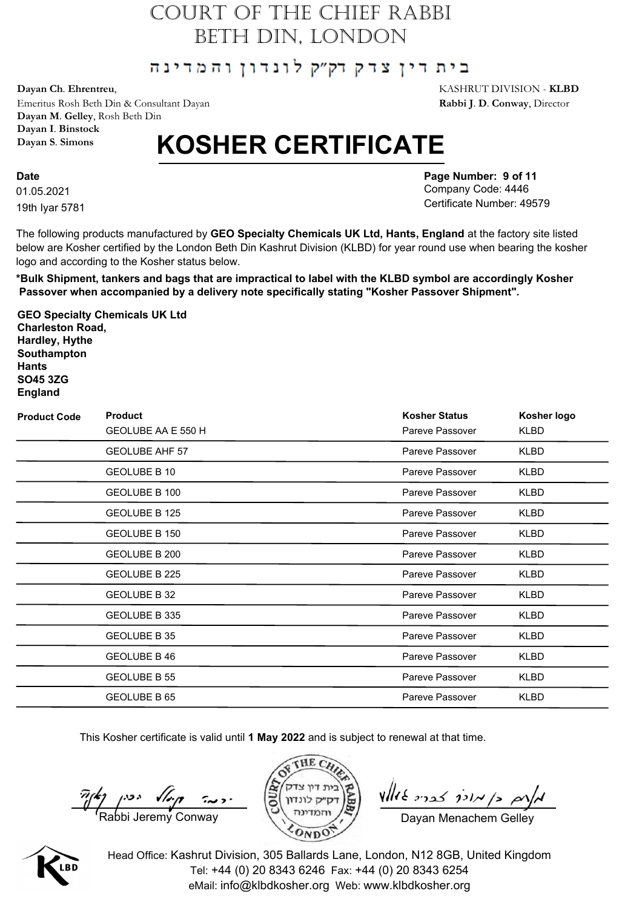#### בית דין צדק דק״ק לונדון והמדינה

**Dayan Ch**. **Ehrentreu**, KASHRUT DIVISION - **KLBD**

Emeritus Rosh Beth Din & Consultant Dayan **Rabbi J**. **D**. **Conway**, Director **Dayan M**. **Gelley**, Rosh Beth Din **Dayan I**. **Binstock Dayan S**. **Simons**

# **KOSHER CERTIFICATE**

01.05.2021 **Date** 19th Iyar 5781 **Page Number: 9 of 11** Company Code: 4446 Certificate Number: 49579

The following products manufactured by **GEO Specialty Chemicals UK Ltd, Hants, England** at the factory site listed below are Kosher certified by the London Beth Din Kashrut Division (KLBD) for year round use when bearing the kosher logo and according to the Kosher status below.

**\*Bulk Shipment, tankers and bags that are impractical to label with the KLBD symbol are accordingly Kosher Passover when accompanied by a delivery note specifically stating "Kosher Passover Shipment".**

**GEO Specialty Chemicals UK Ltd Charleston Road, Hardley, Hythe Southampton Hants SO45 3ZG England**

| <b>Product Code</b> | <b>Product</b><br>GEOLUBE AA E 550 H | <b>Kosher Status</b><br>Pareve Passover | Kosher logo<br>KLBD |
|---------------------|--------------------------------------|-----------------------------------------|---------------------|
|                     | <b>GEOLUBE AHF 57</b>                | Pareve Passover                         | KLBD                |
|                     | GEOLUBE B 10                         | Pareve Passover                         | KLBD                |
|                     | GEOLUBE B 100                        | Pareve Passover                         | <b>KLBD</b>         |
|                     | <b>GEOLUBE B 125</b>                 | Pareve Passover                         | KLBD                |
|                     | GEOLUBE B 150                        | Pareve Passover                         | KLBD                |
|                     | GEOLUBE B 200                        | Pareve Passover                         | <b>KLBD</b>         |
|                     | GEOLUBE B 225                        | Pareve Passover                         | KLBD                |
|                     | GEOLUBE B 32                         | Pareve Passover                         | KLBD                |
|                     | GEOLUBE B 335                        | Pareve Passover                         | KLBD                |
|                     | GEOLUBE B 35                         | Pareve Passover                         | <b>KLBD</b>         |
|                     | GEOLUBE B 46                         | Pareve Passover                         | <b>KLBD</b>         |
|                     | GEOLUBE B 55                         | Pareve Passover                         | KLBD                |
|                     | GEOLUBE B 65                         | Pareve Passover                         | <b>KLBD</b>         |

This Kosher certificate is valid until **1 May 2022** and is subject to renewal at that time.

 $\frac{\pi}{\sqrt{2}}$   $\left(\frac{2}{\sqrt{2}}\right)$   $\left(\frac{2}{\sqrt{2}}\right)$   $\left(\frac{2}{\sqrt{2}}\right)$   $\left(\frac{2}{\sqrt{2}}\right)$   $\left(\frac{2}{\sqrt{2}}\right)$   $\left(\frac{2}{\sqrt{2}}\right)$   $\left(\frac{2}{\sqrt{2}}\right)$   $\left(\frac{2}{\sqrt{2}}\right)$   $\left(\frac{2}{\sqrt{2}}\right)$   $\left(\frac{2}{\sqrt{2}}\right)$   $\left(\frac{2}{\sqrt{2}}\right)$   $\left(\frac{2}{\sqrt$ 





 $\n *where*  $\frac{1}{2}$$ 

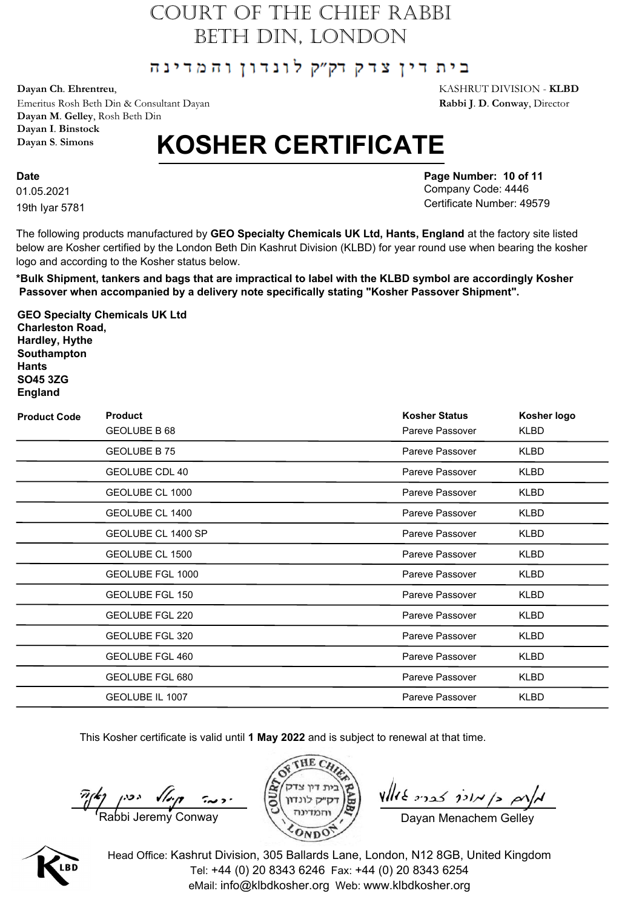#### בית דין צדק דק״ק לונדון והמדינה

**Dayan Ch**. **Ehrentreu**, KASHRUT DIVISION - **KLBD**

Emeritus Rosh Beth Din & Consultant Dayan **Rabbi J**. **D**. **Conway**, Director **Dayan M**. **Gelley**, Rosh Beth Din **Dayan I**. **Binstock Dayan S**. **Simons**

# **KOSHER CERTIFICATE**

01.05.2021 **Date** 19th Iyar 5781 **Page Number: 10 of 11** Company Code: 4446 Certificate Number: 49579

The following products manufactured by **GEO Specialty Chemicals UK Ltd, Hants, England** at the factory site listed below are Kosher certified by the London Beth Din Kashrut Division (KLBD) for year round use when bearing the kosher logo and according to the Kosher status below.

**\*Bulk Shipment, tankers and bags that are impractical to label with the KLBD symbol are accordingly Kosher Passover when accompanied by a delivery note specifically stating "Kosher Passover Shipment".**

**GEO Specialty Chemicals UK Ltd Charleston Road, Hardley, Hythe Southampton Hants SO45 3ZG England**

| <b>Product Code</b> | <b>Product</b>         | <b>Kosher Status</b> | Kosher logo |
|---------------------|------------------------|----------------------|-------------|
|                     | GEOLUBE B 68           | Pareve Passover      | KLBD        |
|                     | GEOLUBE B 75           | Pareve Passover      | <b>KLBD</b> |
|                     | GEOLUBE CDL 40         | Pareve Passover      | KLBD        |
|                     | GEOLUBE CL 1000        | Pareve Passover      | KLBD        |
|                     | GEOLUBE CL 1400        | Pareve Passover      | <b>KLBD</b> |
|                     | GEOLUBE CL 1400 SP     | Pareve Passover      | KLBD        |
|                     | GEOLUBE CL 1500        | Pareve Passover      | KLBD        |
|                     | GEOLUBE FGL 1000       | Pareve Passover      | KLBD        |
|                     | <b>GEOLUBE FGL 150</b> | Pareve Passover      | KLBD        |
|                     | GEOLUBE FGL 220        | Pareve Passover      | <b>KLBD</b> |
|                     | GEOLUBE FGL 320        | Pareve Passover      | KLBD        |
|                     | <b>GEOLUBE FGL 460</b> | Pareve Passover      | KLBD        |
|                     | GEOLUBE FGL 680        | Pareve Passover      | KLBD        |
|                     | GEOLUBE IL 1007        | Pareve Passover      | <b>KLBD</b> |

This Kosher certificate is valid until **1 May 2022** and is subject to renewal at that time.

 $\frac{\pi}{\sqrt{2}}$   $\left(\frac{2}{\sqrt{2}}\right)$   $\left(\frac{2}{\sqrt{2}}\right)$   $\left(\frac{2}{\sqrt{2}}\right)$   $\left(\frac{2}{\sqrt{2}}\right)$   $\left(\frac{2}{\sqrt{2}}\right)$   $\left(\frac{2}{\sqrt{2}}\right)$   $\left(\frac{2}{\sqrt{2}}\right)$   $\left(\frac{2}{\sqrt{2}}\right)$   $\left(\frac{2}{\sqrt{2}}\right)$   $\left(\frac{2}{\sqrt{2}}\right)$   $\left(\frac{2}{\sqrt{2}}\right)$   $\left(\frac{2}{\sqrt$ 





 $\n *where*  $\frac{1}{2}$$